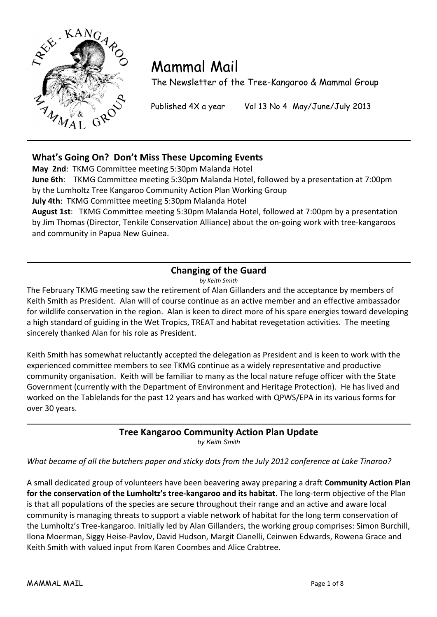

# Mammal Mail

The Newsletter of the Tree-Kangaroo & Mammal Group

Published 4X a year Vol 13 No 4 May/June/July 2013

# What's Going On? Don't Miss These Upcoming Events

May 2nd: TKMG Committee meeting 5:30pm Malanda Hotel **June 6th**: TKMG Committee meeting 5:30pm Malanda Hotel, followed by a presentation at 7:00pm by the Lumholtz Tree Kangaroo Community Action Plan Working Group

**July 4th**: TKMG Committee meeting 5:30pm Malanda Hotel

August 1st: TKMG Committee meeting 5:30pm Malanda Hotel, followed at 7:00pm by a presentation by Jim Thomas (Director, Tenkile Conservation Alliance) about the on-going work with tree-kangaroos and community in Papua New Guinea.

## **Changing of the Guard**

*by#Keith#Smith*

The February TKMG meeting saw the retirement of Alan Gillanders and the acceptance by members of Keith Smith as President. Alan will of course continue as an active member and an effective ambassador for wildlife conservation in the region. Alan is keen to direct more of his spare energies toward developing a high standard of guiding in the Wet Tropics, TREAT and habitat revegetation activities. The meeting sincerely thanked Alan for his role as President.

Keith Smith has somewhat reluctantly accepted the delegation as President and is keen to work with the experienced committee members to see TKMG continue as a widely representative and productive community organisation. Keith will be familiar to many as the local nature refuge officer with the State Government (currently with the Department of Environment and Heritage Protection). He has lived and worked on the Tablelands for the past 12 years and has worked with QPWS/EPA in its various forms for over 30 years.

#### **Tree Kangaroo Community Action Plan Update** *by Keith Smith*

What became of all the butchers paper and sticky dots from the July 2012 conference at Lake Tinaroo?

A small dedicated group of volunteers have been beavering away preparing a draft **Community Action Plan** for the conservation of the Lumholtz's tree-kangaroo and its habitat. The long-term objective of the Plan is that all populations of the species are secure throughout their range and an active and aware local community is managing threats to support a viable network of habitat for the long term conservation of the Lumholtz's Tree-kangaroo. Initially led by Alan Gillanders, the working group comprises: Simon Burchill, Ilona Moerman, Siggy Heise-Pavlov, David Hudson, Margit Cianelli, Ceinwen Edwards, Rowena Grace and Keith Smith with valued input from Karen Coombes and Alice Crabtree.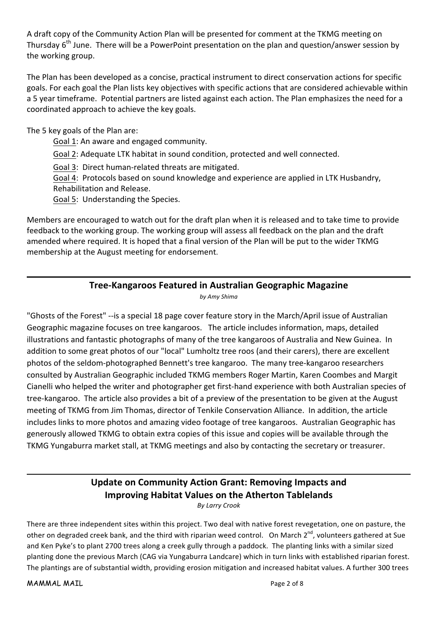A draft copy of the Community Action Plan will be presented for comment at the TKMG meeting on Thursday  $6<sup>th</sup>$  June. There will be a PowerPoint presentation on the plan and question/answer session by the working group.

The Plan has been developed as a concise, practical instrument to direct conservation actions for specific goals. For each goal the Plan lists key objectives with specific actions that are considered achievable within a 5 year timeframe. Potential partners are listed against each action. The Plan emphasizes the need for a coordinated approach to achieve the key goals.

The 5 key goals of the Plan are:

Goal 1: An aware and engaged community.

Goal 2: Adequate LTK habitat in sound condition, protected and well connected.

Goal 3: Direct human-related threats are mitigated.

Goal 4: Protocols based on sound knowledge and experience are applied in LTK Husbandry, Rehabilitation and Release.

Goal 5: Understanding the Species.

Members are encouraged to watch out for the draft plan when it is released and to take time to provide feedback to the working group. The working group will assess all feedback on the plan and the draft amended where required. It is hoped that a final version of the Plan will be put to the wider TKMG membership at the August meeting for endorsement.

# **Tree-Kangaroos Featured in Australian Geographic Magazine**

by Amy Shima

"Ghosts of the Forest" --is a special 18 page cover feature story in the March/April issue of Australian Geographic magazine focuses on tree kangaroos. The article includes information, maps, detailed illustrations and fantastic photographs of many of the tree kangaroos of Australia and New Guinea. In addition to some great photos of our "local" Lumholtz tree roos (and their carers), there are excellent photos of the seldom-photographed Bennett's tree kangaroo. The many tree-kangaroo researchers consulted by Australian Geographic included TKMG members Roger Martin, Karen Coombes and Margit Cianelli who helped the writer and photographer get first-hand experience with both Australian species of tree-kangaroo. The article also provides a bit of a preview of the presentation to be given at the August meeting of TKMG from Jim Thomas, director of Tenkile Conservation Alliance. In addition, the article includes links to more photos and amazing video footage of tree kangaroos. Australian Geographic has generously allowed TKMG to obtain extra copies of this issue and copies will be available through the TKMG Yungaburra market stall, at TKMG meetings and also by contacting the secretary or treasurer.

# **Update on Community Action Grant: Removing Impacts and Improving Habitat Values on the Atherton Tablelands**

**By Larry Crook** 

There are three independent sites within this project. Two deal with native forest revegetation, one on pasture, the other on degraded creek bank, and the third with riparian weed control. On March 2<sup>nd</sup>, volunteers gathered at Sue and Ken Pyke's to plant 2700 trees along a creek gully through a paddock. The planting links with a similar sized planting done the previous March (CAG via Yungaburra Landcare) which in turn links with established riparian forest. The plantings are of substantial width, providing erosion mitigation and increased habitat values. A further 300 trees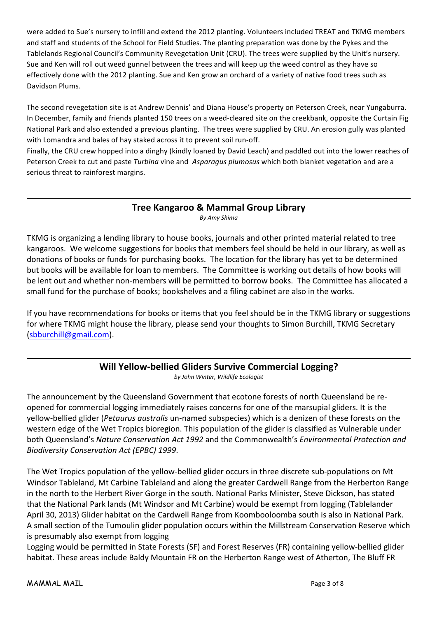were added to Sue's nursery to infill and extend the 2012 planting. Volunteers included TREAT and TKMG members and staff and students of the School for Field Studies. The planting preparation was done by the Pykes and the Tablelands Regional Council's Community Revegetation Unit (CRU). The trees were supplied by the Unit's nursery. Sue and Ken will roll out weed gunnel between the trees and will keep up the weed control as they have so effectively done with the 2012 planting. Sue and Ken grow an orchard of a variety of native food trees such as Davidson Plums.

The second revegetation site is at Andrew Dennis' and Diana House's property on Peterson Creek, near Yungaburra. In December, family and friends planted 150 trees on a weed-cleared site on the creekbank, opposite the Curtain Fig National Park and also extended a previous planting. The trees were supplied by CRU. An erosion gully was planted with Lomandra and bales of hay staked across it to prevent soil run-off.

Finally, the CRU crew hopped into a dinghy (kindly loaned by David Leach) and paddled out into the lower reaches of Peterson Creek to cut and paste *Turbina* vine and Asparagus plumosus which both blanket vegetation and are a serious threat to rainforest margins.

## **Tree Kangaroo & Mammal Group Library**

*By#Amy#Shima*

TKMG is organizing a lending library to house books, journals and other printed material related to tree kangaroos. We welcome suggestions for books that members feel should be held in our library, as well as donations of books or funds for purchasing books. The location for the library has yet to be determined but books will be available for loan to members. The Committee is working out details of how books will be lent out and whether non-members will be permitted to borrow books. The Committee has allocated a small fund for the purchase of books; bookshelves and a filing cabinet are also in the works.

If you have recommendations for books or items that you feel should be in the TKMG library or suggestions for where TKMG might house the library, please send your thoughts to Simon Burchill, TKMG Secretary (sbburchill@gmail.com).

#### Will Yellow-bellied Gliders Survive Commercial Logging? *by#John#Winter,#Wildlife#Ecologist*

The announcement by the Queensland Government that ecotone forests of north Queensland be reopened for commercial logging immediately raises concerns for one of the marsupial gliders. It is the yellow-bellied glider (*Petaurus australis* un-named subspecies) which is a denizen of these forests on the western edge of the Wet Tropics bioregion. This population of the glider is classified as Vulnerable under both Queensland's Nature Conservation Act 1992 and the Commonwealth's *Environmental Protection and Biodiversity#Conservation#Act#(EPBC)#1999*.

The Wet Tropics population of the yellow-bellied glider occurs in three discrete sub-populations on Mt Windsor Tableland, Mt Carbine Tableland and along the greater Cardwell Range from the Herberton Range in the north to the Herbert River Gorge in the south. National Parks Minister, Steve Dickson, has stated that the National Park lands (Mt Windsor and Mt Carbine) would be exempt from logging (Tablelander April 30, 2013) Glider habitat on the Cardwell Range from Koombooloomba south is also in National Park. A small section of the Tumoulin glider population occurs within the Millstream Conservation Reserve which is presumably also exempt from logging

Logging would be permitted in State Forests (SF) and Forest Reserves (FR) containing yellow-bellied glider habitat. These areas include Baldy Mountain FR on the Herberton Range west of Atherton, The Bluff FR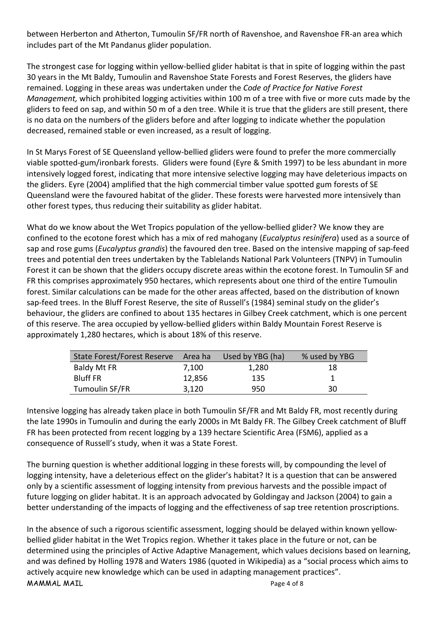between Herberton and Atherton, Tumoulin SF/FR north of Ravenshoe, and Ravenshoe FR-an area which includes part of the Mt Pandanus glider population.

The strongest case for logging within yellow-bellied glider habitat is that in spite of logging within the past 30 years in the Mt Baldy, Tumoulin and Ravenshoe State Forests and Forest Reserves, the gliders have remained. Logging in these areas was undertaken under the *Code of Practice for Native Forest Management,* which prohibited logging activities within 100 m of a tree with five or more cuts made by the gliders to feed on sap, and within 50 m of a den tree. While it is true that the gliders are still present, there is no data on the numbers of the gliders before and after logging to indicate whether the population decreased, remained stable or even increased, as a result of logging.

In St Marys Forest of SE Queensland yellow-bellied gliders were found to prefer the more commercially viable spotted-gum/ironbark forests. Gliders were found (Eyre & Smith 1997) to be less abundant in more intensively logged forest, indicating that more intensive selective logging may have deleterious impacts on the gliders. Eyre (2004) amplified that the high commercial timber value spotted gum forests of SE Queensland were the favoured habitat of the glider. These forests were harvested more intensively than other forest types, thus reducing their suitability as glider habitat.

What do we know about the Wet Tropics population of the yellow-bellied glider? We know they are confined to the ecotone forest which has a mix of red mahogany (*Eucalyptus resinifera*) used as a source of sap and rose gums (*Eucalyptus grandis*) the favoured den tree. Based on the intensive mapping of sap-feed trees and potential den trees undertaken by the Tablelands National Park Volunteers (TNPV) in Tumoulin Forest it can be shown that the gliders occupy discrete areas within the ecotone forest. In Tumoulin SF and FR this comprises approximately 950 hectares, which represents about one third of the entire Tumoulin forest. Similar calculations can be made for the other areas affected, based on the distribution of known sap-feed trees. In the Bluff Forest Reserve, the site of Russell's (1984) seminal study on the glider's behaviour, the gliders are confined to about 135 hectares in Gilbey Creek catchment, which is one percent of this reserve. The area occupied by yellow-bellied gliders within Baldy Mountain Forest Reserve is approximately 1,280 hectares, which is about 18% of this reserve.

| State Forest/Forest Reserve Area ha |        | Used by YBG (ha) | % used by YBG |
|-------------------------------------|--------|------------------|---------------|
| <b>Baldy Mt FR</b>                  | 7.100  | 1,280            | 18            |
| <b>Bluff FR</b>                     | 12,856 | 135              |               |
| Tumoulin SF/FR                      | 3,120  | 950              | 30            |

Intensive logging has already taken place in both Tumoulin SF/FR and Mt Baldy FR, most recently during the late 1990s in Tumoulin and during the early 2000s in Mt Baldy FR. The Gilbey Creek catchment of Bluff FR has been protected from recent logging by a 139 hectare Scientific Area (FSM6), applied as a consequence of Russell's study, when it was a State Forest.

The burning question is whether additional logging in these forests will, by compounding the level of logging intensity, have a deleterious effect on the glider's habitat? It is a question that can be answered only by a scientific assessment of logging intensity from previous harvests and the possible impact of future logging on glider habitat. It is an approach advocated by Goldingay and Jackson (2004) to gain a better understanding of the impacts of logging and the effectiveness of sap tree retention proscriptions.

In the absence of such a rigorous scientific assessment, logging should be delayed within known yellowbellied glider habitat in the Wet Tropics region. Whether it takes place in the future or not, can be determined using the principles of Active Adaptive Management, which values decisions based on learning, and was defined by Holling 1978 and Waters 1986 (quoted in Wikipedia) as a "social process which aims to actively acquire new knowledge which can be used in adapting management practices".

 $MAMMAL MAIL$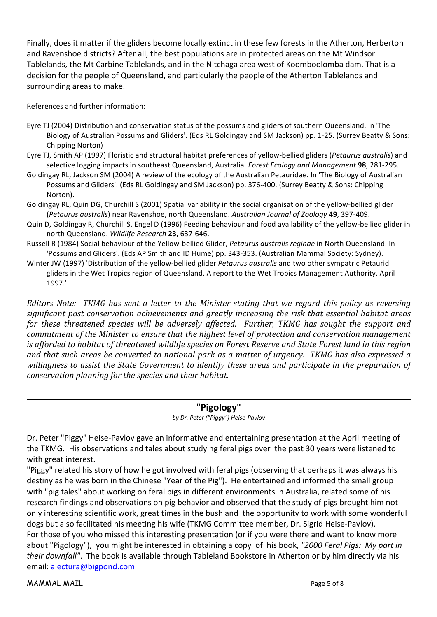Finally, does it matter if the gliders become locally extinct in these few forests in the Atherton, Herberton and Ravenshoe districts? After all, the best populations are in protected areas on the Mt Windsor Tablelands, the Mt Carbine Tablelands, and in the Nitchaga area west of Koomboolomba dam. That is a decision for the people of Queensland, and particularly the people of the Atherton Tablelands and surrounding areas to make.

References and further information:

- Eyre TJ (2004) Distribution and conservation status of the possums and gliders of southern Queensland. In 'The Biology of Australian Possums and Gliders'. (Eds RL Goldingay and SM Jackson) pp. 1-25. (Surrey Beatty & Sons: Chipping Norton)
- Eyre TJ, Smith AP (1997) Floristic and structural habitat preferences of yellow-bellied gliders (*Petaurus australis*) and selective logging impacts in southeast Queensland, Australia. Forest Ecology and Management 98, 281-295.
- Goldingay RL, Jackson SM (2004) A review of the ecology of the Australian Petauridae. In 'The Biology of Australian Possums and Gliders'. (Eds RL Goldingay and SM Jackson) pp. 376-400. (Surrey Beatty & Sons: Chipping Norton).
- Goldingay RL, Quin DG, Churchill S (2001) Spatial variability in the social organisation of the yellow-bellied glider (*Petaurus australis*) near Ravenshoe, north Queensland. Australian Journal of Zoology 49, 397-409.
- Quin D, Goldingay R, Churchill S, Engel D (1996) Feeding behaviour and food availability of the yellow-bellied glider in north Queensland. Wildlife Research 23, 637-646.
- Russell R (1984) Social behaviour of the Yellow-bellied Glider, *Petaurus australis reginae* in North Queensland. In 'Possums and Gliders'. (Eds AP Smith and ID Hume) pp. 343-353. (Australian Mammal Society: Sydney).
- Winter JW (1997) 'Distribution of the yellow-bellied glider *Petaurus australis* and two other sympatric Petaurid gliders in the Wet Tropics region of Queensland. A report to the Wet Tropics Management Authority, April 1997.'

*Editors Note:* TKMG has sent a letter to the Minister stating that we regard this policy as reversing significant past conservation achievements and greatly increasing the risk that essential habitat areas *for these threatened species will be adversely affected. Further, TKMG has sought the support and commitment of the Minister to ensure that the highest level of protection and conservation management is afforded to habitat of threatened wildlife species on Forest Reserve and State Forest land in this region and that such areas be converted to national park as a matter of urgency. TKMG has also expressed a* willingness to assist the State Government to identify these areas and participate in the preparation of *conservation planning for the species and their habitat.* 

### **"Pigology"**

*by Dr. Peter ("Piggy") Heise-Pavlov* 

Dr. Peter "Piggy" Heise-Pavlov gave an informative and entertaining presentation at the April meeting of the TKMG. His observations and tales about studying feral pigs over the past 30 years were listened to with great interest.

"Piggy" related his story of how he got involved with feral pigs (observing that perhaps it was always his destiny as he was born in the Chinese "Year of the Pig"). He entertained and informed the small group with "pig tales" about working on feral pigs in different environments in Australia, related some of his research findings and observations on pig behavior and observed that the study of pigs brought him not only interesting scientific work, great times in the bush and the opportunity to work with some wonderful dogs but also facilitated his meeting his wife (TKMG Committee member, Dr. Sigrid Heise-Pavlov). For those of you who missed this interesting presentation (or if you were there and want to know more about "Pigology"), you might be interested in obtaining a copy of his book, "2000 Feral Pigs: My part in *their downfall"*. The book is available through Tableland Bookstore in Atherton or by him directly via his email: alectura@bigpond.com

MAMMAL MAIL **Mathematic Service Contract of Service Contract Contract Contract Contract Contract Contract Contract Contract Contract Contract Contract Contract Contract Contract Contract Contract Contract Contract Contract**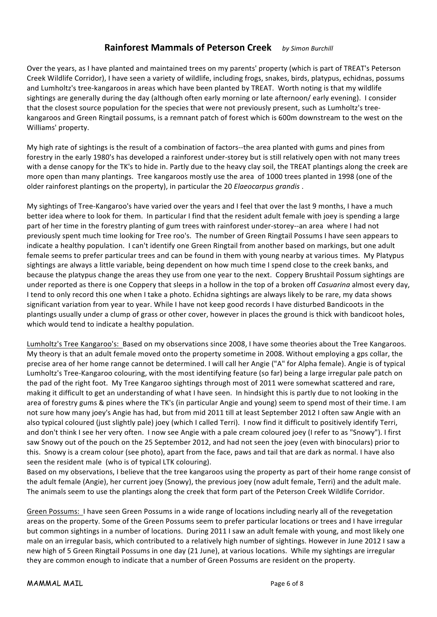## **Rainforest Mammals of Peterson Creek** *by Simon Burchill*

Over the years, as I have planted and maintained trees on my parents' property (which is part of TREAT's Peterson Creek Wildlife Corridor), I have seen a variety of wildlife, including frogs, snakes, birds, platypus, echidnas, possums and Lumholtz's tree-kangaroos in areas which have been planted by TREAT. Worth noting is that my wildlife sightings are generally during the day (although often early morning or late afternoon/ early evening). I consider that the closest source population for the species that were not previously present, such as Lumholtz's treekangaroos and Green Ringtail possums, is a remnant patch of forest which is 600m downstream to the west on the Williams' property.

My high rate of sightings is the result of a combination of factors--the area planted with gums and pines from forestry in the early 1980's has developed a rainforest under-storey but is still relatively open with not many trees with a dense canopy for the TK's to hide in. Partly due to the heavy clay soil, the TREAT plantings along the creek are more open than many plantings. Tree kangaroos mostly use the area of 1000 trees planted in 1998 (one of the older rainforest plantings on the property), in particular the 20 *Elaeocarpus grandis* .

My sightings of Tree-Kangaroo's have varied over the years and I feel that over the last 9 months, I have a much better idea where to look for them. In particular I find that the resident adult female with joey is spending a large part of her time in the forestry planting of gum trees with rainforest under-storey--an area where I had not previously spent much time looking for Tree roo's. The number of Green Ringtail Possums I have seen appears to indicate a healthy population. I can't identify one Green Ringtail from another based on markings, but one adult female seems to prefer particular trees and can be found in them with young nearby at various times. My Platypus sightings are always a little variable, being dependent on how much time I spend close to the creek banks, and because the platypus change the areas they use from one year to the next. Coppery Brushtail Possum sightings are under reported as there is one Coppery that sleeps in a hollow in the top of a broken off *Casuarina* almost every day, I tend to only record this one when I take a photo. Echidna sightings are always likely to be rare, my data shows significant variation from year to year. While I have not keep good records I have disturbed Bandicoots in the plantings usually under a clump of grass or other cover, however in places the ground is thick with bandicoot holes, which would tend to indicate a healthy population.

Lumholtz's Tree Kangaroo's: Based on my observations since 2008, I have some theories about the Tree Kangaroos. My theory is that an adult female moved onto the property sometime in 2008. Without employing a gps collar, the precise area of her home range cannot be determined. I will call her Angie ("A" for Alpha female). Angie is of typical Lumholtz's Tree-Kangaroo colouring, with the most identifying feature (so far) being a large irregular pale patch on the pad of the right foot. My Tree Kangaroo sightings through most of 2011 were somewhat scattered and rare, making it difficult to get an understanding of what I have seen. In hindsight this is partly due to not looking in the area of forestry gums & pines where the TK's (in particular Angie and young) seem to spend most of their time. I am not sure how many joey's Angie has had, but from mid 2011 till at least September 2012 I often saw Angie with an also typical coloured (just slightly pale) joey (which I called Terri). I now find it difficult to positively identify Terri, and don't think I see her very often. I now see Angie with a pale cream coloured joey (I refer to as "Snowy"). I first saw Snowy out of the pouch on the 25 September 2012, and had not seen the joey (even with binoculars) prior to this. Snowy is a cream colour (see photo), apart from the face, paws and tail that are dark as normal. I have also seen the resident male (who is of typical LTK colouring).

Based on my observations, I believe that the tree kangaroos using the property as part of their home range consist of the adult female (Angie), her current joey (Snowy), the previous joey (now adult female, Terri) and the adult male. The animals seem to use the plantings along the creek that form part of the Peterson Creek Wildlife Corridor.

Green Possums: I have seen Green Possums in a wide range of locations including nearly all of the revegetation areas on the property. Some of the Green Possums seem to prefer particular locations or trees and I have irregular but common sightings in a number of locations. During 2011 I saw an adult female with young, and most likely one male on an irregular basis, which contributed to a relatively high number of sightings. However in June 2012 I saw a new high of 5 Green Ringtail Possums in one day (21 June), at various locations. While my sightings are irregular they are common enough to indicate that a number of Green Possums are resident on the property.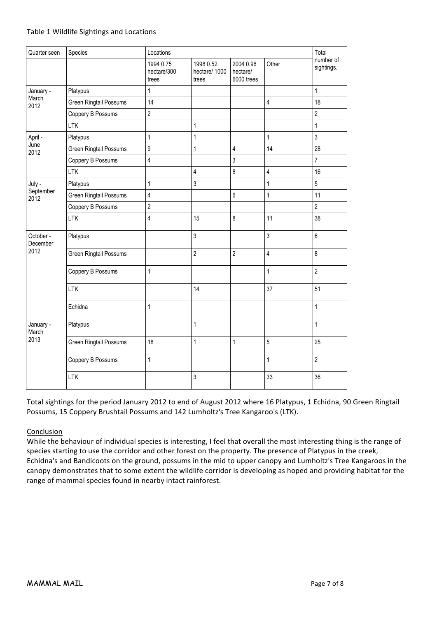| Quarter seen                  | Species<br>Locations   |                                   |                                    |                                     |                         | Total                   |
|-------------------------------|------------------------|-----------------------------------|------------------------------------|-------------------------------------|-------------------------|-------------------------|
|                               |                        | 1994 0.75<br>hectare/300<br>trees | 1998 0.52<br>hectare/1000<br>trees | 2004 0.96<br>hectare/<br>6000 trees | Other                   | number of<br>sightings. |
| January -<br>March<br>2012    | Platypus               | $\mathbf{1}$                      |                                    |                                     |                         | 1                       |
|                               | Green Ringtail Possums | 14                                |                                    |                                     | $\overline{4}$          | 18                      |
|                               | Coppery B Possums      | $\sqrt{2}$                        |                                    |                                     |                         | $\overline{2}$          |
|                               | <b>LTK</b>             |                                   | 1                                  |                                     |                         | $\mathbf{1}$            |
| April -<br>June<br>2012       | Platypus               | $\mathbf{1}$                      | 1                                  |                                     | $\mathbf{1}$            | $\mathfrak{Z}$          |
|                               | Green Ringtail Possums | $\boldsymbol{9}$                  | $\mathbf{1}$                       | $\overline{4}$                      | 14                      | 28                      |
|                               | Coppery B Possums      | $\overline{4}$                    |                                    | $\mathfrak{Z}$                      |                         | $\overline{7}$          |
|                               | <b>LTK</b>             |                                   | $\overline{4}$                     | $\,8\,$                             | $\overline{\mathbf{4}}$ | 16                      |
| July -<br>September<br>2012   | Platypus               | $\mathbf{1}$                      | 3                                  |                                     | $\mathbf{1}$            | $\overline{5}$          |
|                               | Green Ringtail Possums | $\overline{4}$                    |                                    | $6\phantom{a}$                      | $\mathbf{1}$            | 11                      |
|                               | Coppery B Possums      | $\sqrt{2}$                        |                                    |                                     |                         | $\overline{2}$          |
|                               | <b>LTK</b>             | $\overline{\mathbf{4}}$           | 15                                 | $\,8\,$                             | 11                      | 38                      |
| October -<br>December<br>2012 | Platypus               |                                   | $\mathbf{3}$                       |                                     | $\mathbf{3}$            | $\boldsymbol{6}$        |
|                               | Green Ringtail Possums |                                   | $\overline{2}$                     | $\overline{2}$                      | $\overline{4}$          | 8                       |
|                               | Coppery B Possums      | $\mathbf{1}$                      |                                    |                                     | $\mathbf{1}$            | $\overline{2}$          |
|                               | <b>LTK</b>             |                                   | 14                                 |                                     | 37                      | 51                      |
|                               | Echidna                | $\mathbf{1}$                      |                                    |                                     |                         | $\mathbf{1}$            |
| January -<br>March<br>2013    | Platypus               |                                   | $\mathbf{1}$                       |                                     |                         | $\mathbf{1}$            |
|                               | Green Ringtail Possums | 18                                | 1                                  | $\mathbf{1}$                        | 5                       | 25                      |
|                               | Coppery B Possums      | $\mathbf{1}$                      |                                    |                                     | $\mathbf{1}$            | $\overline{2}$          |
|                               | <b>LTK</b>             |                                   | 3                                  |                                     | 33                      | 36                      |

Total sightings for the period January 2012 to end of August 2012 where 16 Platypus, 1 Echidna, 90 Green Ringtail Possums, 15 Coppery Brushtail Possums and 142 Lumholtz's Tree Kangaroo's (LTK).

#### Conclusion

While the behaviour of individual species is interesting, I feel that overall the most interesting thing is the range of species starting to use the corridor and other forest on the property. The presence of Platypus in the creek, Echidna's and Bandicoots on the ground, possums in the mid to upper canopy and Lumholtz's Tree Kangaroos in the canopy demonstrates that to some extent the wildlife corridor is developing as hoped and providing habitat for the range of mammal species found in nearby intact rainforest.